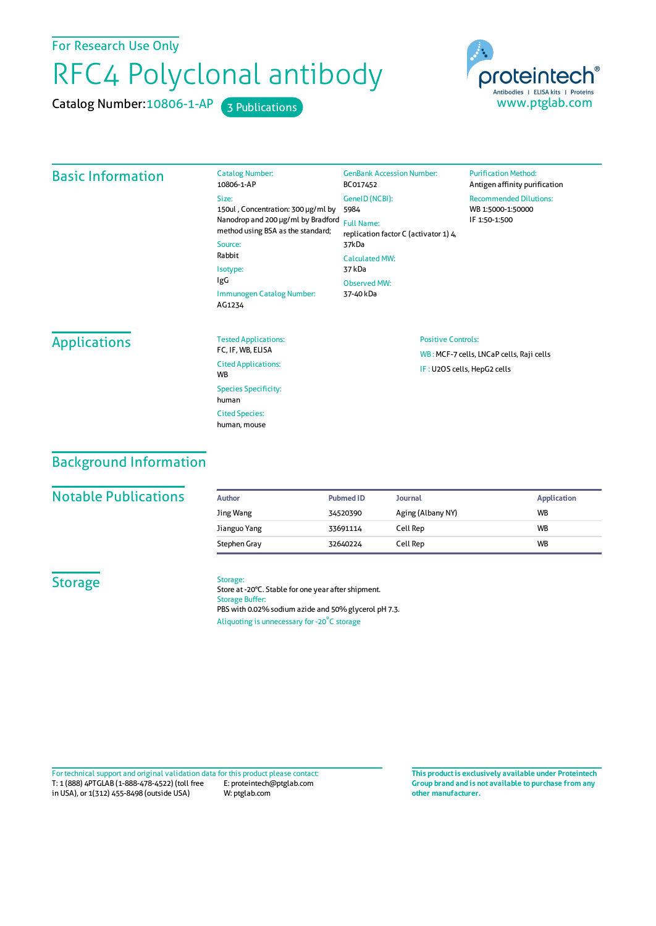For Research Use Only

# RFC4 Polyclonal antibody

Catalog Number:

Catalog Number: 10806-1-AP 3 Publications



## Basic Information

| 10806-1-AP                                                              | BC017452                                                   |
|-------------------------------------------------------------------------|------------------------------------------------------------|
| Size:<br>150ul, Concentration: 300 µg/ml by                             | GeneID (NCBI):<br>5984                                     |
| Nanodrop and 200 µg/ml by Bradford<br>method using BSA as the standard; | <b>Full Name:</b><br>replication factor C (activator 1) 4, |
| Source:                                                                 | 37kDa                                                      |
| Rabbit                                                                  | <b>Calculated MW:</b>                                      |
| Isotype:                                                                | 37 kDa                                                     |
| IgG                                                                     | <b>Observed MW:</b>                                        |
| Immunogen Catalog Number:<br>AG1234                                     | 37-40 kDa                                                  |
|                                                                         |                                                            |

GenBank Accession Number:

#### **Purification Method:** Antigen affinity purification Recommended Dilutions: WB 1:5000-1:50000 IF 1:50-1:500

# **Applications**

| <b>Tested Applications:</b><br>FC. IF. WB. ELISA   |
|----------------------------------------------------|
| <b>Cited Applications:</b><br><b>W<sub>R</sub></b> |
| <b>Species Specificity:</b><br>human               |
| <b>Cited Species:</b><br>human, mouse              |

#### Positive Controls:

WB : MCF-7 cells, LNCaP cells, Raji cells IF : U2OS cells, HepG2 cells

# Background Information

## **Notable Publications**

| Author       | <b>Pubmed ID</b> | Journal           | <b>Application</b> |
|--------------|------------------|-------------------|--------------------|
| Jing Wang    | 34520390         | Aging (Albany NY) | <b>WB</b>          |
| Jianguo Yang | 33691114         | Cell Rep          | <b>WB</b>          |
| Stephen Gray | 32640224         | Cell Rep          | <b>WB</b>          |

### **Storage**

Storage: Store at -20°C. Stable for one year after shipment. Storage Buffer: PBS with 0.02% sodium azide and 50% glycerol pH 7.3.

Aliquoting is unnecessary for -20<sup>°</sup>C storage

T: 1 (888) 4PTGLAB (1-888-478-4522) (toll free in USA), or 1(312) 455-8498 (outside USA) E: proteintech@ptglab.com W: ptglab.com Fortechnical support and original validation data forthis product please contact: **This productis exclusively available under Proteintech**

**Group brand and is not available to purchase from any other manufacturer.**